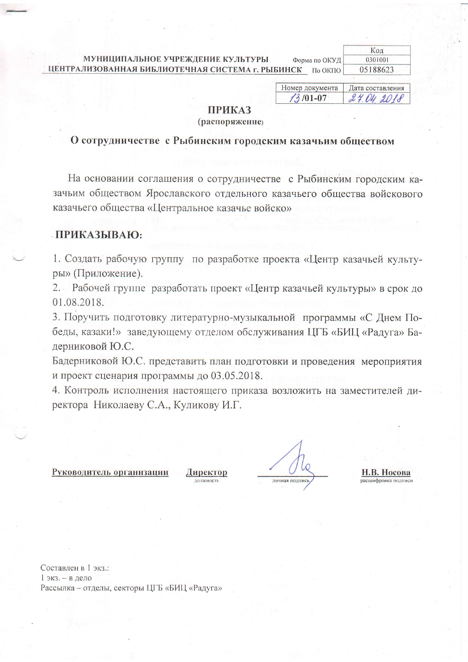МУНИЦИПАЛЬНОЕ УЧРЕЖДЕНИЕ КУЛЬТУРЫ Форма по ОКУД ЦЕНТРАЛИЗОВАННАЯ БИБЛИОТЕЧНАЯ СИСТЕМА г. РЫБИНСК По ОКПО

| Код      |  |
|----------|--|
| 0301001  |  |
| 05188623 |  |

Номер документа Дата составления  $13/01 - 07$ 24.04 2018

## **ПРИКАЗ**

#### (распоряжение)

### О сотрудничестве с Рыбинским городским казачьим обществом

На основании соглашения о сотрудничестве с Рыбинским городским казачьим обществом Ярославского отдельного казачьего общества войскового казачьего общества «Центральное казачье войско»

### ПРИКАЗЫВАЮ:

1. Создать рабочую группу по разработке проекта «Центр казачьей культуры» (Приложение).

2. Рабочей группе разработать проект «Центр казачьей культуры» в срок до 01.08.2018.

3. Поручить подготовку литературно-музыкальной программы «С Днем Победы, казаки!» заведующему отделом обслуживания ЦГБ «БИЦ «Радуга» Бадерниковой Ю.С.

Бадерниковой Ю.С. представить план подготовки и проведения мероприятия и проект сценария программы до 03.05.2018.

4. Контроль исполнения настоящего приказа возложить на заместителей директора Николаеву С.А., Куликову И.Г.

#### Руководитель организации

Директор **JOUNGHOCTH** 

личная поллись

Н.В. Носова асшифровка полписи

Составлен в 1 экз.: 1 экз. - в дело Рассылка - отделы, секторы ЦГБ «БИЦ «Радуга»